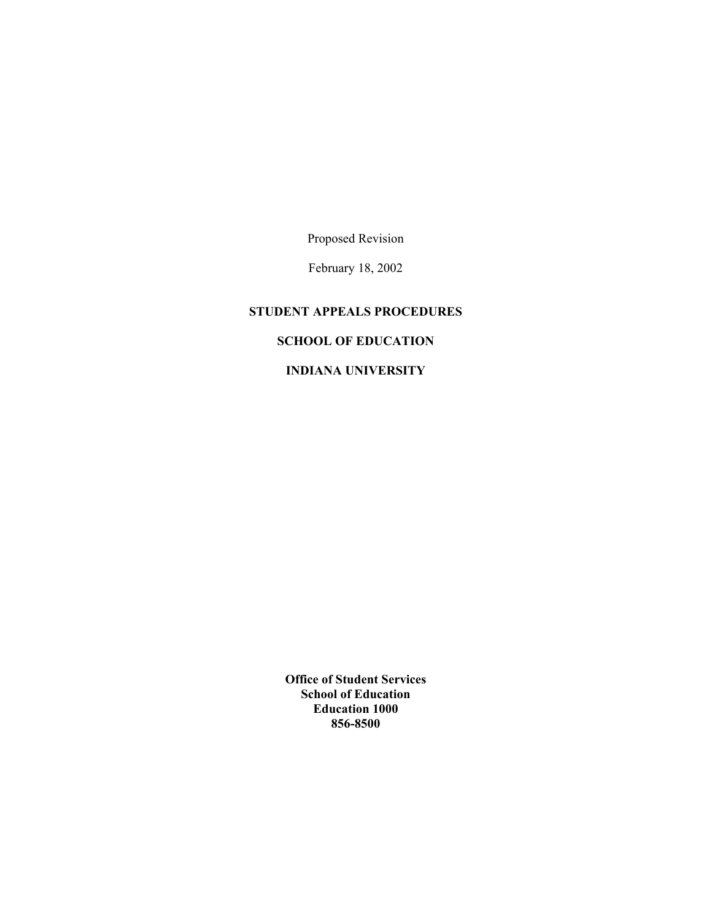Proposed Revision

February 18, 2002

## **STUDENT APPEALS PROCEDURES**

# **SCHOOL OF EDUCATION**

# **INDIANA UNIVERSITY**

**Office of Student Services School of Education Education 1000 856-8500**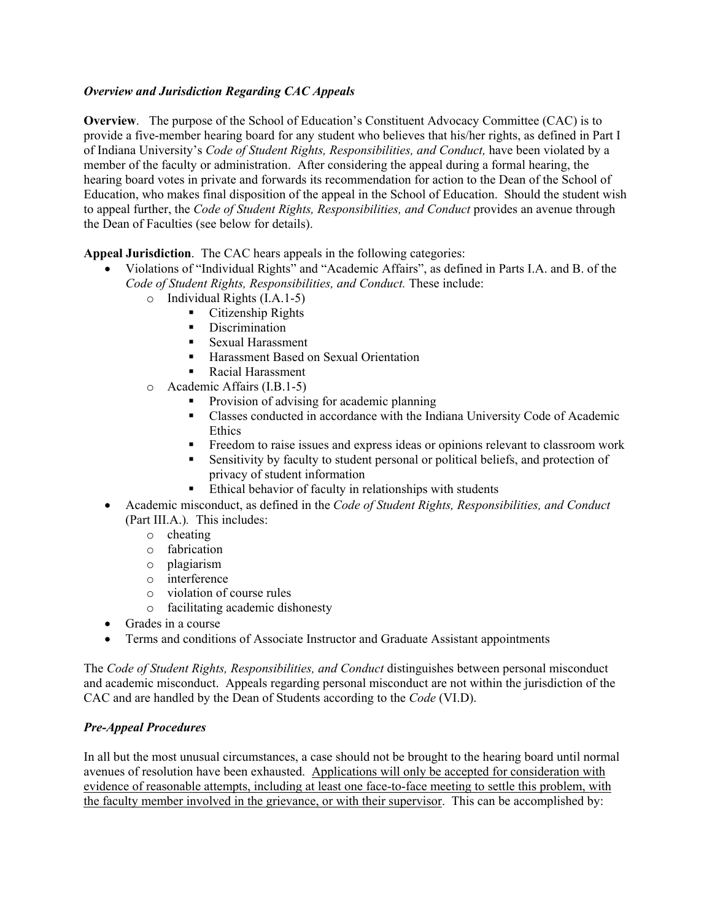## *Overview and Jurisdiction Regarding CAC Appeals*

**Overview.** The purpose of the School of Education's Constituent Advocacy Committee (CAC) is to provide a five-member hearing board for any student who believes that his/her rights, as defined in Part I of Indiana University's *Code of Student Rights, Responsibilities, and Conduct,* have been violated by a member of the faculty or administration. After considering the appeal during a formal hearing, the hearing board votes in private and forwards its recommendation for action to the Dean of the School of Education, who makes final disposition of the appeal in the School of Education. Should the student wish to appeal further, the *Code of Student Rights, Responsibilities, and Conduct* provides an avenue through the Dean of Faculties (see below for details).

**Appeal Jurisdiction**. The CAC hears appeals in the following categories:

- Violations of "Individual Rights" and "Academic Affairs", as defined in Parts I.A. and B. of the *Code of Student Rights, Responsibilities, and Conduct.* These include:
	- o Individual Rights (I.A.1-5)
		- Citizenship Rights
		- Discrimination
		- Sexual Harassment
		- Harassment Based on Sexual Orientation
		- Racial Harassment
	- o Academic Affairs (I.B.1-5)
		- Provision of advising for academic planning
		- Classes conducted in accordance with the Indiana University Code of Academic **Ethics**
		- Freedom to raise issues and express ideas or opinions relevant to classroom work
		- Sensitivity by faculty to student personal or political beliefs, and protection of privacy of student information
		- Ethical behavior of faculty in relationships with students
- Academic misconduct, as defined in the *Code of Student Rights, Responsibilities, and Conduct* (Part III.A.)*.* This includes:
	- o cheating
	- o fabrication
	- o plagiarism
	- o interference
	- o violation of course rules
	- o facilitating academic dishonesty
- Grades in a course
- Terms and conditions of Associate Instructor and Graduate Assistant appointments

The *Code of Student Rights, Responsibilities, and Conduct* distinguishes between personal misconduct and academic misconduct. Appeals regarding personal misconduct are not within the jurisdiction of the CAC and are handled by the Dean of Students according to the *Code* (VI.D).

# *Pre-Appeal Procedures*

In all but the most unusual circumstances, a case should not be brought to the hearing board until normal avenues of resolution have been exhausted. Applications will only be accepted for consideration with evidence of reasonable attempts, including at least one face-to-face meeting to settle this problem, with the faculty member involved in the grievance, or with their supervisor. This can be accomplished by: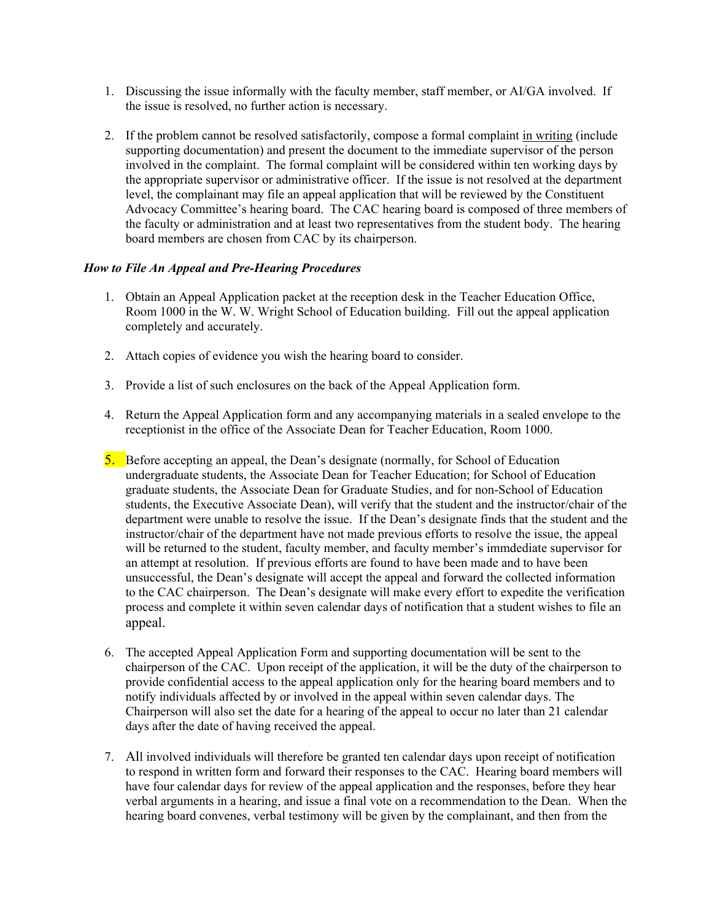- 1. Discussing the issue informally with the faculty member, staff member, or AI/GA involved. If the issue is resolved, no further action is necessary.
- 2. If the problem cannot be resolved satisfactorily, compose a formal complaint in writing (include supporting documentation) and present the document to the immediate supervisor of the person involved in the complaint. The formal complaint will be considered within ten working days by the appropriate supervisor or administrative officer. If the issue is not resolved at the department level, the complainant may file an appeal application that will be reviewed by the Constituent Advocacy Committee's hearing board. The CAC hearing board is composed of three members of the faculty or administration and at least two representatives from the student body. The hearing board members are chosen from CAC by its chairperson.

#### *How to File An Appeal and Pre-Hearing Procedures*

- 1. Obtain an Appeal Application packet at the reception desk in the Teacher Education Office, Room 1000 in the W. W. Wright School of Education building. Fill out the appeal application completely and accurately.
- 2. Attach copies of evidence you wish the hearing board to consider.
- 3. Provide a list of such enclosures on the back of the Appeal Application form.
- 4. Return the Appeal Application form and any accompanying materials in a sealed envelope to the receptionist in the office of the Associate Dean for Teacher Education, Room 1000.
- 5. Before accepting an appeal, the Dean's designate (normally, for School of Education undergraduate students, the Associate Dean for Teacher Education; for School of Education graduate students, the Associate Dean for Graduate Studies, and for non-School of Education students, the Executive Associate Dean), will verify that the student and the instructor/chair of the department were unable to resolve the issue. If the Dean's designate finds that the student and the instructor/chair of the department have not made previous efforts to resolve the issue, the appeal will be returned to the student, faculty member, and faculty member's immdediate supervisor for an attempt at resolution. If previous efforts are found to have been made and to have been unsuccessful, the Dean's designate will accept the appeal and forward the collected information to the CAC chairperson. The Dean's designate will make every effort to expedite the verification process and complete it within seven calendar days of notification that a student wishes to file an appeal.
- 6. The accepted Appeal Application Form and supporting documentation will be sent to the chairperson of the CAC. Upon receipt of the application, it will be the duty of the chairperson to provide confidential access to the appeal application only for the hearing board members and to notify individuals affected by or involved in the appeal within seven calendar days. The Chairperson will also set the date for a hearing of the appeal to occur no later than 21 calendar days after the date of having received the appeal.
- 7. All involved individuals will therefore be granted ten calendar days upon receipt of notification to respond in written form and forward their responses to the CAC. Hearing board members will have four calendar days for review of the appeal application and the responses, before they hear verbal arguments in a hearing, and issue a final vote on a recommendation to the Dean. When the hearing board convenes, verbal testimony will be given by the complainant, and then from the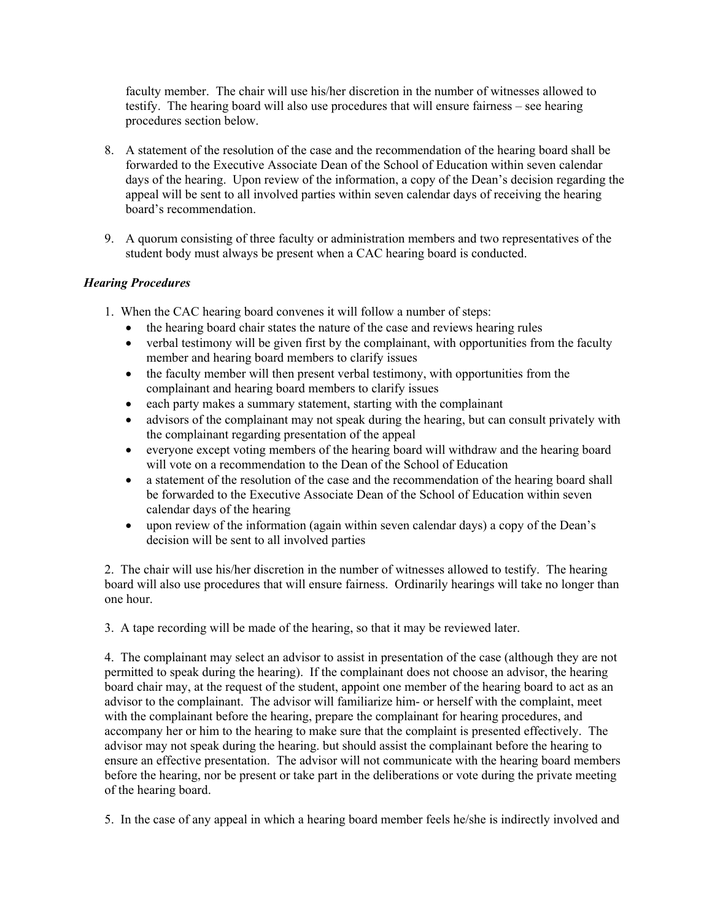faculty member. The chair will use his/her discretion in the number of witnesses allowed to testify. The hearing board will also use procedures that will ensure fairness – see hearing procedures section below.

- 8. A statement of the resolution of the case and the recommendation of the hearing board shall be forwarded to the Executive Associate Dean of the School of Education within seven calendar days of the hearing. Upon review of the information, a copy of the Dean's decision regarding the appeal will be sent to all involved parties within seven calendar days of receiving the hearing board's recommendation.
- 9. A quorum consisting of three faculty or administration members and two representatives of the student body must always be present when a CAC hearing board is conducted.

## *Hearing Procedures*

- 1. When the CAC hearing board convenes it will follow a number of steps:
	- the hearing board chair states the nature of the case and reviews hearing rules
	- verbal testimony will be given first by the complainant, with opportunities from the faculty member and hearing board members to clarify issues
	- the faculty member will then present verbal testimony, with opportunities from the complainant and hearing board members to clarify issues
	- each party makes a summary statement, starting with the complainant
	- advisors of the complainant may not speak during the hearing, but can consult privately with the complainant regarding presentation of the appeal
	- everyone except voting members of the hearing board will withdraw and the hearing board will vote on a recommendation to the Dean of the School of Education
	- a statement of the resolution of the case and the recommendation of the hearing board shall be forwarded to the Executive Associate Dean of the School of Education within seven calendar days of the hearing
	- upon review of the information (again within seven calendar days) a copy of the Dean's decision will be sent to all involved parties

2. The chair will use his/her discretion in the number of witnesses allowed to testify. The hearing board will also use procedures that will ensure fairness. Ordinarily hearings will take no longer than one hour.

3. A tape recording will be made of the hearing, so that it may be reviewed later.

4. The complainant may select an advisor to assist in presentation of the case (although they are not permitted to speak during the hearing). If the complainant does not choose an advisor, the hearing board chair may, at the request of the student, appoint one member of the hearing board to act as an advisor to the complainant. The advisor will familiarize him- or herself with the complaint, meet with the complainant before the hearing, prepare the complainant for hearing procedures, and accompany her or him to the hearing to make sure that the complaint is presented effectively. The advisor may not speak during the hearing. but should assist the complainant before the hearing to ensure an effective presentation. The advisor will not communicate with the hearing board members before the hearing, nor be present or take part in the deliberations or vote during the private meeting of the hearing board.

5. In the case of any appeal in which a hearing board member feels he/she is indirectly involved and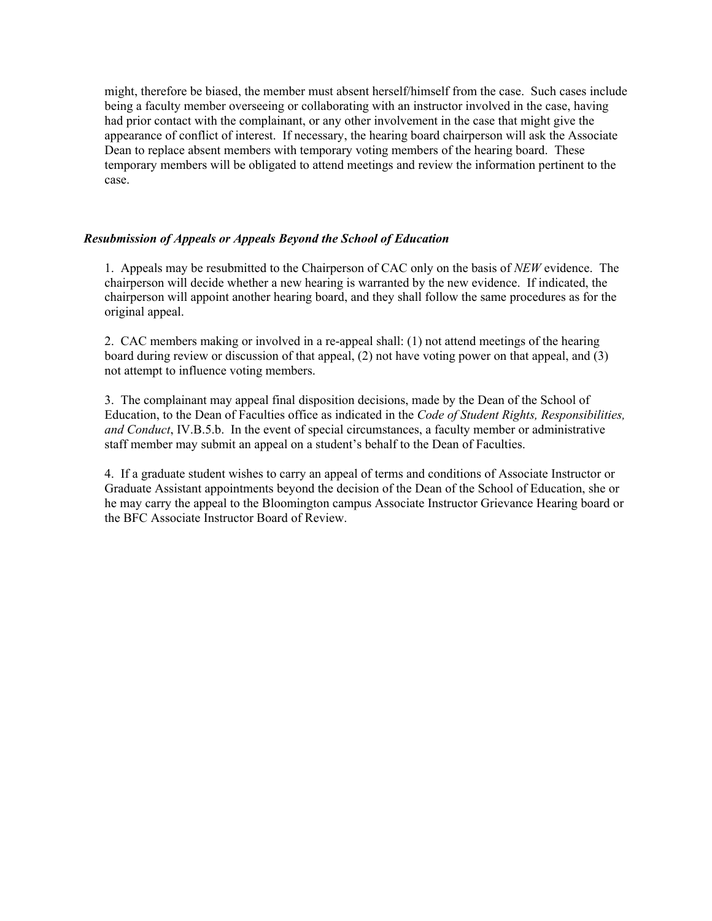might, therefore be biased, the member must absent herself/himself from the case. Such cases include being a faculty member overseeing or collaborating with an instructor involved in the case, having had prior contact with the complainant, or any other involvement in the case that might give the appearance of conflict of interest. If necessary, the hearing board chairperson will ask the Associate Dean to replace absent members with temporary voting members of the hearing board. These temporary members will be obligated to attend meetings and review the information pertinent to the case.

#### *Resubmission of Appeals or Appeals Beyond the School of Education*

1. Appeals may be resubmitted to the Chairperson of CAC only on the basis of *NEW* evidence. The chairperson will decide whether a new hearing is warranted by the new evidence. If indicated, the chairperson will appoint another hearing board, and they shall follow the same procedures as for the original appeal.

2. CAC members making or involved in a re-appeal shall: (1) not attend meetings of the hearing board during review or discussion of that appeal, (2) not have voting power on that appeal, and (3) not attempt to influence voting members.

3. The complainant may appeal final disposition decisions, made by the Dean of the School of Education, to the Dean of Faculties office as indicated in the *Code of Student Rights, Responsibilities, and Conduct*, IV.B.5.b. In the event of special circumstances, a faculty member or administrative staff member may submit an appeal on a student's behalf to the Dean of Faculties.

4. If a graduate student wishes to carry an appeal of terms and conditions of Associate Instructor or Graduate Assistant appointments beyond the decision of the Dean of the School of Education, she or he may carry the appeal to the Bloomington campus Associate Instructor Grievance Hearing board or the BFC Associate Instructor Board of Review.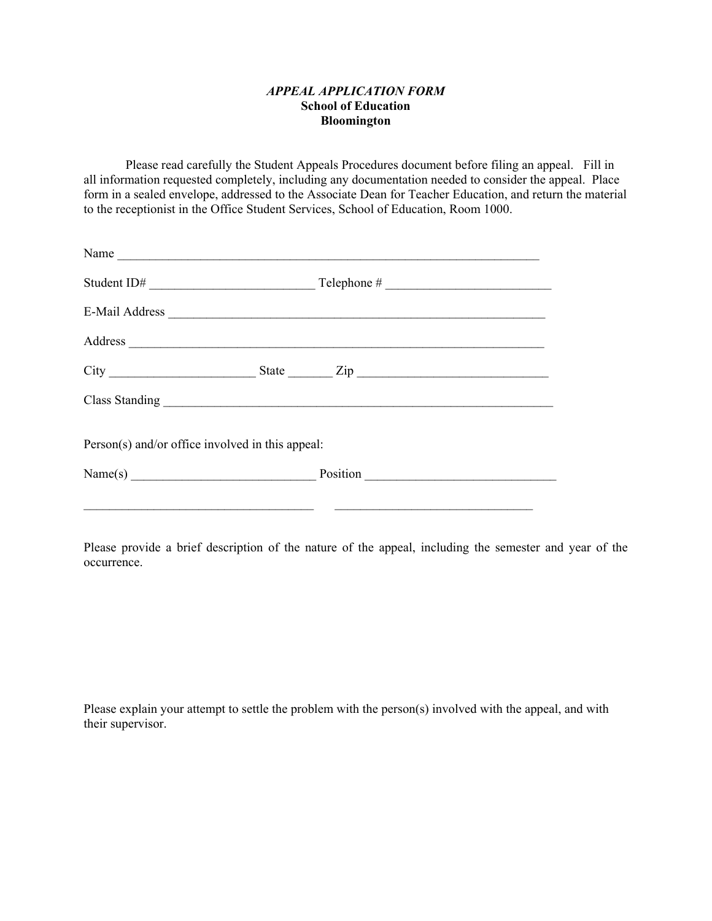#### *APPEAL APPLICATION FORM*  **School of Education Bloomington**

 Please read carefully the Student Appeals Procedures document before filing an appeal. Fill in all information requested completely, including any documentation needed to consider the appeal. Place form in a sealed envelope, addressed to the Associate Dean for Teacher Education, and return the material to the receptionist in the Office Student Services, School of Education, Room 1000.

| Name                                             |                       |  |
|--------------------------------------------------|-----------------------|--|
| Student ID#                                      | $\text{Telephone} \#$ |  |
|                                                  |                       |  |
|                                                  |                       |  |
|                                                  |                       |  |
|                                                  |                       |  |
| Person(s) and/or office involved in this appeal: |                       |  |
|                                                  |                       |  |
|                                                  |                       |  |
|                                                  |                       |  |

Please provide a brief description of the nature of the appeal, including the semester and year of the occurrence.

Please explain your attempt to settle the problem with the person(s) involved with the appeal, and with their supervisor.